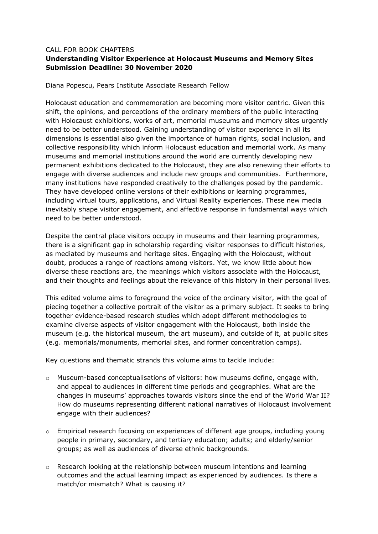## CALL FOR BOOK CHAPTERS

## **Understanding Visitor Experience at Holocaust Museums and Memory Sites Submission Deadline: 30 November 2020**

Diana Popescu, Pears Institute Associate Research Fellow

Holocaust education and commemoration are becoming more visitor centric. Given this shift, the opinions, and perceptions of the ordinary members of the public interacting with Holocaust exhibitions, works of art, memorial museums and memory sites urgently need to be better understood. Gaining understanding of visitor experience in all its dimensions is essential also given the importance of human rights, social inclusion, and collective responsibility which inform Holocaust education and memorial work. As many museums and memorial institutions around the world are currently developing new permanent exhibitions dedicated to the Holocaust, they are also renewing their efforts to engage with diverse audiences and include new groups and communities. Furthermore, many institutions have responded creatively to the challenges posed by the pandemic. They have developed online versions of their exhibitions or learning programmes, including virtual tours, applications, and Virtual Reality experiences. These new media inevitably shape visitor engagement, and affective response in fundamental ways which need to be better understood.

Despite the central place visitors occupy in museums and their learning programmes, there is a significant gap in scholarship regarding visitor responses to difficult histories, as mediated by museums and heritage sites. Engaging with the Holocaust, without doubt, produces a range of reactions among visitors. Yet, we know little about how diverse these reactions are, the meanings which visitors associate with the Holocaust, and their thoughts and feelings about the relevance of this history in their personal lives.

This edited volume aims to foreground the voice of the ordinary visitor, with the goal of piecing together a collective portrait of the visitor as a primary subject. It seeks to bring together evidence-based research studies which adopt different methodologies to examine diverse aspects of visitor engagement with the Holocaust, both inside the museum (e.g. the historical museum, the art museum), and outside of it, at public sites (e.g. memorials/monuments, memorial sites, and former concentration camps).

Key questions and thematic strands this volume aims to tackle include:

- o Museum-based conceptualisations of visitors: how museums define, engage with, and appeal to audiences in different time periods and geographies. What are the changes in museums' approaches towards visitors since the end of the World War II? How do museums representing different national narratives of Holocaust involvement engage with their audiences?
- o Empirical research focusing on experiences of different age groups, including young people in primary, secondary, and tertiary education; adults; and elderly/senior groups; as well as audiences of diverse ethnic backgrounds.
- $\circ$  Research looking at the relationship between museum intentions and learning outcomes and the actual learning impact as experienced by audiences. Is there a match/or mismatch? What is causing it?